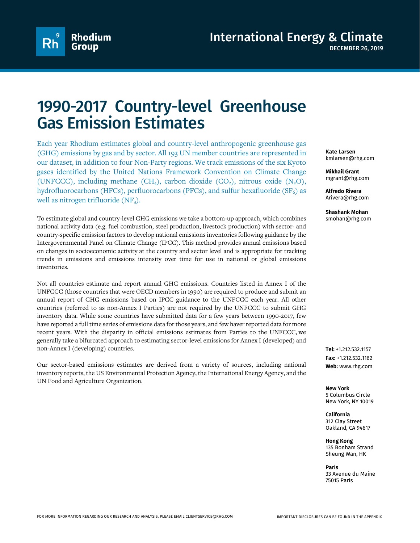

## 1990-2017 Country-level Greenhouse Gas Emission Estimates

Each year Rhodium estimates global and country-level anthropogenic greenhouse gas (GHG) emissions by gas and by sector. All 193 UN member countries are represented in our dataset, in addition to four Non-Party regions. We track emissions of the six Kyoto gases identified by the United Nations Framework Convention on Climate Change (UNFCCC), including methane (CH<sub>4</sub>), carbon dioxide (CO<sub>2</sub>), nitrous oxide (N<sub>2</sub>O), hydrofluorocarbons (HFCs), perfluorocarbons (PFCs), and sulfur hexafluoride ( $SF<sub>6</sub>$ ) as well as nitrogen trifluoride  $(NF_3)$ .

To estimate global and country-level GHG emissions we take a bottom-up approach, which combines national activity data (e.g. fuel combustion, steel production, livestock production) with sector- and country-specific emission factors to develop national emissions inventories following guidance by the Intergovernmental Panel on Climate Change (IPCC). This method provides annual emissions based on changes in socioeconomic activity at the country and sector level and is appropriate for tracking trends in emissions and emissions intensity over time for use in national or global emissions inventories.

Not all countries estimate and report annual GHG emissions. Countries listed in Annex I of the UNFCCC (those countries that were OECD members in 1990) are required to produce and submit an annual report of GHG emissions based on IPCC guidance to the UNFCCC each year. All other countries (referred to as non-Annex I Parties) are not required by the UNFCCC to submit GHG inventory data. While some countries have submitted data for a few years between 1990-2017, few have reported a full time series of emissions data for those years, and few haver reported data for more recent years. With the disparity in official emissions estimates from Parties to the UNFCCC, we generally take a bifurcated approach to estimating sector-level emissions for Annex I (developed) and non-Annex I (developing) countries.

Our sector-based emissions estimates are derived from a variety of sources, including national inventory reports, the US Environmental Protection Agency, the International Energy Agency, and the UN Food and Agriculture Organization.

**Kate Larsen** kmlarsen@rhg.com

**Mikhail Grant** mgrant@rhg.com

**Alfredo Rivera** Arivera@rhg.com

**Shashank Mohan** smohan@rhg.com

**Tel:** +1.212.532.1157 **Fax:** +1.212.532.1162 **Web:** www.rhg.com

**New York** 5 Columbus Circle New York, NY 10019

**California** 312 Clay Street Oakland, CA 94617

**Hong Kong** 135 Bonham Strand Sheung Wan, HK

**Paris** 33 Avenue du Maine 75015 Paris